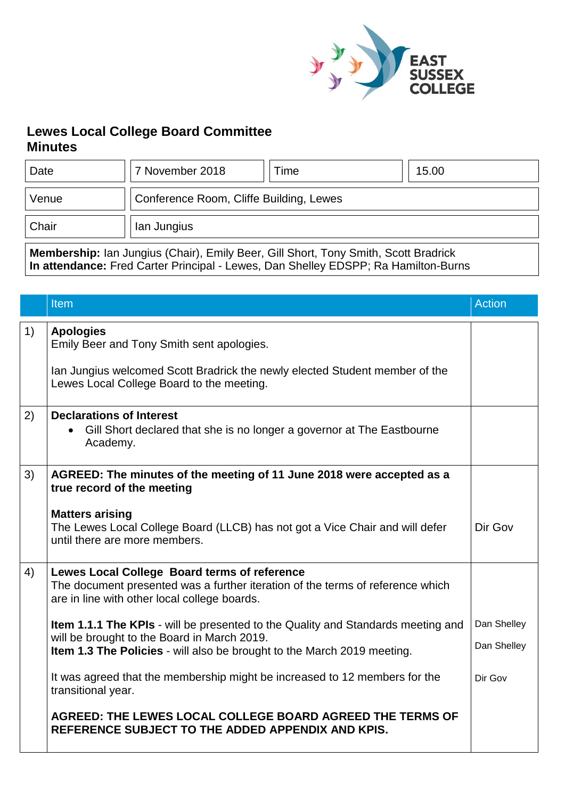

## **Lewes Local College Board Committee Minutes**

| Date  | 7 November 2018                         | Time | 15.00 |
|-------|-----------------------------------------|------|-------|
| Venue | Conference Room, Cliffe Building, Lewes |      |       |
| Chair | lan Jungius                             |      |       |

**Membership:** Ian Jungius (Chair), Emily Beer, Gill Short, Tony Smith, Scott Bradrick **In attendance:** Fred Carter Principal - Lewes, Dan Shelley EDSPP; Ra Hamilton-Burns

|    | Item                                                                                                                                                                           | <b>Action</b> |
|----|--------------------------------------------------------------------------------------------------------------------------------------------------------------------------------|---------------|
| 1) | <b>Apologies</b><br>Emily Beer and Tony Smith sent apologies.                                                                                                                  |               |
|    | Ian Jungius welcomed Scott Bradrick the newly elected Student member of the<br>Lewes Local College Board to the meeting.                                                       |               |
| 2) | <b>Declarations of Interest</b><br>Gill Short declared that she is no longer a governor at The Eastbourne<br>Academy.                                                          |               |
| 3) | AGREED: The minutes of the meeting of 11 June 2018 were accepted as a<br>true record of the meeting                                                                            |               |
|    | <b>Matters arising</b><br>The Lewes Local College Board (LLCB) has not got a Vice Chair and will defer<br>until there are more members.                                        | Dir Gov       |
| 4) | Lewes Local College Board terms of reference<br>The document presented was a further iteration of the terms of reference which<br>are in line with other local college boards. |               |
|    | <b>Item 1.1.1 The KPIs</b> - will be presented to the Quality and Standards meeting and<br>will be brought to the Board in March 2019.                                         | Dan Shelley   |
|    | Item 1.3 The Policies - will also be brought to the March 2019 meeting.                                                                                                        | Dan Shelley   |
|    | It was agreed that the membership might be increased to 12 members for the<br>transitional year.                                                                               | Dir Gov       |
|    | AGREED: THE LEWES LOCAL COLLEGE BOARD AGREED THE TERMS OF<br>REFERENCE SUBJECT TO THE ADDED APPENDIX AND KPIS.                                                                 |               |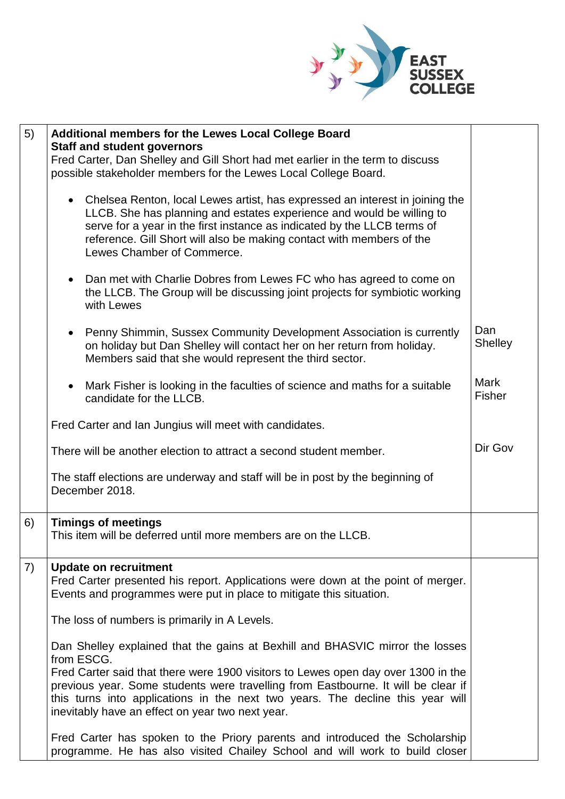

| 5) | Additional members for the Lewes Local College Board                                                                                                                                                                                                                                                                                                                                                        |                       |
|----|-------------------------------------------------------------------------------------------------------------------------------------------------------------------------------------------------------------------------------------------------------------------------------------------------------------------------------------------------------------------------------------------------------------|-----------------------|
|    | <b>Staff and student governors</b><br>Fred Carter, Dan Shelley and Gill Short had met earlier in the term to discuss<br>possible stakeholder members for the Lewes Local College Board.                                                                                                                                                                                                                     |                       |
|    | • Chelsea Renton, local Lewes artist, has expressed an interest in joining the<br>LLCB. She has planning and estates experience and would be willing to<br>serve for a year in the first instance as indicated by the LLCB terms of<br>reference. Gill Short will also be making contact with members of the<br>Lewes Chamber of Commerce.                                                                  |                       |
|    | Dan met with Charlie Dobres from Lewes FC who has agreed to come on<br>the LLCB. The Group will be discussing joint projects for symbiotic working<br>with Lewes                                                                                                                                                                                                                                            |                       |
|    | Penny Shimmin, Sussex Community Development Association is currently<br>on holiday but Dan Shelley will contact her on her return from holiday.<br>Members said that she would represent the third sector.                                                                                                                                                                                                  | Dan<br><b>Shelley</b> |
|    | Mark Fisher is looking in the faculties of science and maths for a suitable<br>candidate for the LLCB.                                                                                                                                                                                                                                                                                                      | Mark<br><b>Fisher</b> |
|    | Fred Carter and Ian Jungius will meet with candidates.                                                                                                                                                                                                                                                                                                                                                      |                       |
|    | There will be another election to attract a second student member.                                                                                                                                                                                                                                                                                                                                          | Dir Gov               |
|    | The staff elections are underway and staff will be in post by the beginning of<br>December 2018.                                                                                                                                                                                                                                                                                                            |                       |
| 6) | <b>Timings of meetings</b><br>This item will be deferred until more members are on the LLCB.                                                                                                                                                                                                                                                                                                                |                       |
| 7) | <b>Update on recruitment</b><br>Fred Carter presented his report. Applications were down at the point of merger.<br>Events and programmes were put in place to mitigate this situation.                                                                                                                                                                                                                     |                       |
|    | The loss of numbers is primarily in A Levels.                                                                                                                                                                                                                                                                                                                                                               |                       |
|    | Dan Shelley explained that the gains at Bexhill and BHASVIC mirror the losses<br>from ESCG.<br>Fred Carter said that there were 1900 visitors to Lewes open day over 1300 in the<br>previous year. Some students were travelling from Eastbourne. It will be clear if<br>this turns into applications in the next two years. The decline this year will<br>inevitably have an effect on year two next year. |                       |
|    | Fred Carter has spoken to the Priory parents and introduced the Scholarship<br>programme. He has also visited Chailey School and will work to build closer                                                                                                                                                                                                                                                  |                       |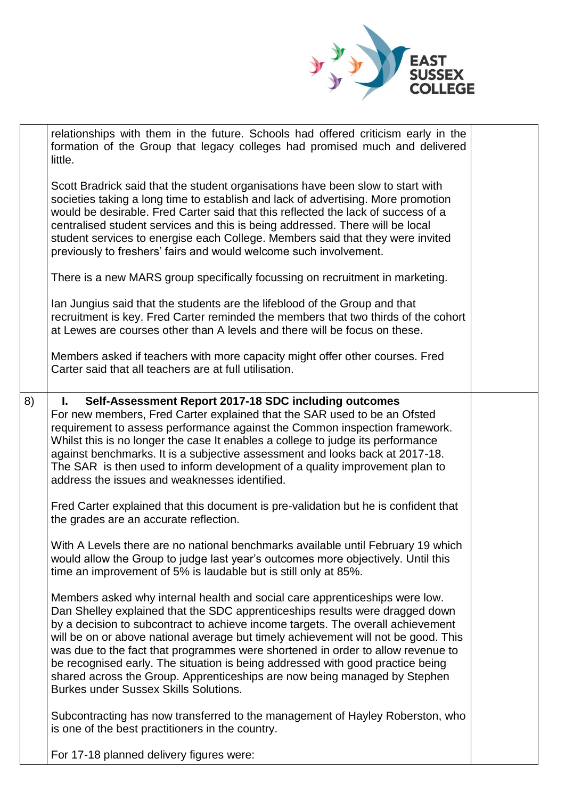

|    | relationships with them in the future. Schools had offered criticism early in the<br>formation of the Group that legacy colleges had promised much and delivered<br>little.                                                                                                                                                                                                                                                                                                                                                                                                                                                            |  |
|----|----------------------------------------------------------------------------------------------------------------------------------------------------------------------------------------------------------------------------------------------------------------------------------------------------------------------------------------------------------------------------------------------------------------------------------------------------------------------------------------------------------------------------------------------------------------------------------------------------------------------------------------|--|
|    | Scott Bradrick said that the student organisations have been slow to start with<br>societies taking a long time to establish and lack of advertising. More promotion<br>would be desirable. Fred Carter said that this reflected the lack of success of a<br>centralised student services and this is being addressed. There will be local<br>student services to energise each College. Members said that they were invited<br>previously to freshers' fairs and would welcome such involvement.                                                                                                                                      |  |
|    | There is a new MARS group specifically focussing on recruitment in marketing.                                                                                                                                                                                                                                                                                                                                                                                                                                                                                                                                                          |  |
|    | Ian Jungius said that the students are the lifeblood of the Group and that<br>recruitment is key. Fred Carter reminded the members that two thirds of the cohort<br>at Lewes are courses other than A levels and there will be focus on these.                                                                                                                                                                                                                                                                                                                                                                                         |  |
|    | Members asked if teachers with more capacity might offer other courses. Fred<br>Carter said that all teachers are at full utilisation.                                                                                                                                                                                                                                                                                                                                                                                                                                                                                                 |  |
| 8) | L.<br>Self-Assessment Report 2017-18 SDC including outcomes<br>For new members, Fred Carter explained that the SAR used to be an Ofsted<br>requirement to assess performance against the Common inspection framework.<br>Whilst this is no longer the case It enables a college to judge its performance<br>against benchmarks. It is a subjective assessment and looks back at 2017-18.<br>The SAR is then used to inform development of a quality improvement plan to<br>address the issues and weaknesses identified.                                                                                                               |  |
|    | Fred Carter explained that this document is pre-validation but he is confident that<br>the grades are an accurate reflection.                                                                                                                                                                                                                                                                                                                                                                                                                                                                                                          |  |
|    | With A Levels there are no national benchmarks available until February 19 which<br>would allow the Group to judge last year's outcomes more objectively. Until this<br>time an improvement of 5% is laudable but is still only at 85%.                                                                                                                                                                                                                                                                                                                                                                                                |  |
|    | Members asked why internal health and social care apprenticeships were low.<br>Dan Shelley explained that the SDC apprenticeships results were dragged down<br>by a decision to subcontract to achieve income targets. The overall achievement<br>will be on or above national average but timely achievement will not be good. This<br>was due to the fact that programmes were shortened in order to allow revenue to<br>be recognised early. The situation is being addressed with good practice being<br>shared across the Group. Apprenticeships are now being managed by Stephen<br><b>Burkes under Sussex Skills Solutions.</b> |  |
|    | Subcontracting has now transferred to the management of Hayley Roberston, who<br>is one of the best practitioners in the country.                                                                                                                                                                                                                                                                                                                                                                                                                                                                                                      |  |
|    | For 17-18 planned delivery figures were:                                                                                                                                                                                                                                                                                                                                                                                                                                                                                                                                                                                               |  |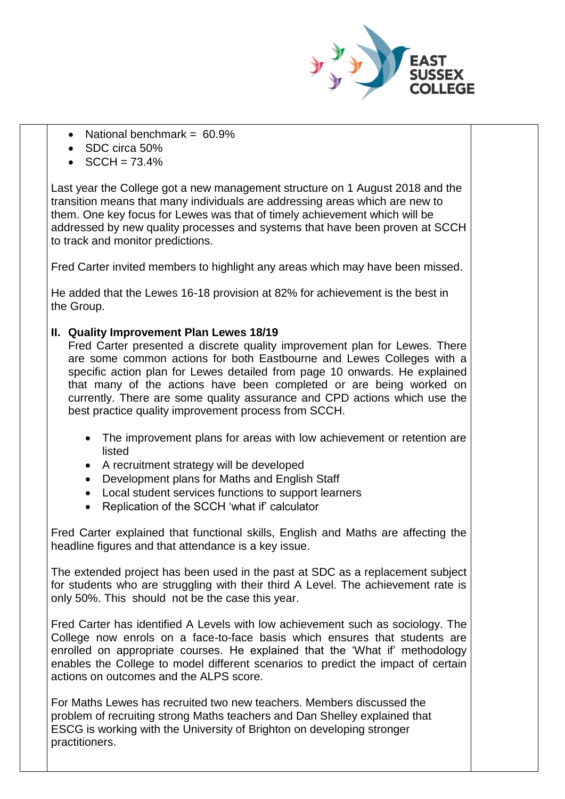

- National benchmark =  $60.9\%$
- SDC circa 50%
- $SCCH = 73.4%$

Last year the College got a new management structure on 1 August 2018 and the transition means that many individuals are addressing areas which are new to them. One key focus for Lewes was that of timely achievement which will be addressed by new quality processes and systems that have been proven at SCCH to track and monitor predictions.

Fred Carter invited members to highlight any areas which may have been missed.

He added that the Lewes 16-18 provision at 82% for achievement is the best in the Group.

## **II. Quality Improvement Plan Lewes 18/19**

Fred Carter presented a discrete quality improvement plan for Lewes. There are some common actions for both Eastbourne and Lewes Colleges with a specific action plan for Lewes detailed from page 10 onwards. He explained that many of the actions have been completed or are being worked on currently. There are some quality assurance and CPD actions which use the best practice quality improvement process from SCCH.

- The improvement plans for areas with low achievement or retention are listed
- A recruitment strategy will be developed
- Development plans for Maths and English Staff
- Local student services functions to support learners
- Replication of the SCCH 'what if' calculator

Fred Carter explained that functional skills, English and Maths are affecting the headline figures and that attendance is a key issue.

The extended project has been used in the past at SDC as a replacement subject for students who are struggling with their third A Level. The achievement rate is only 50%. This should not be the case this year.

Fred Carter has identified A Levels with low achievement such as sociology. The College now enrols on a face-to-face basis which ensures that students are enrolled on appropriate courses. He explained that the 'What if' methodology enables the College to model different scenarios to predict the impact of certain actions on outcomes and the ALPS score.

For Maths Lewes has recruited two new teachers. Members discussed the problem of recruiting strong Maths teachers and Dan Shelley explained that ESCG is working with the University of Brighton on developing stronger practitioners.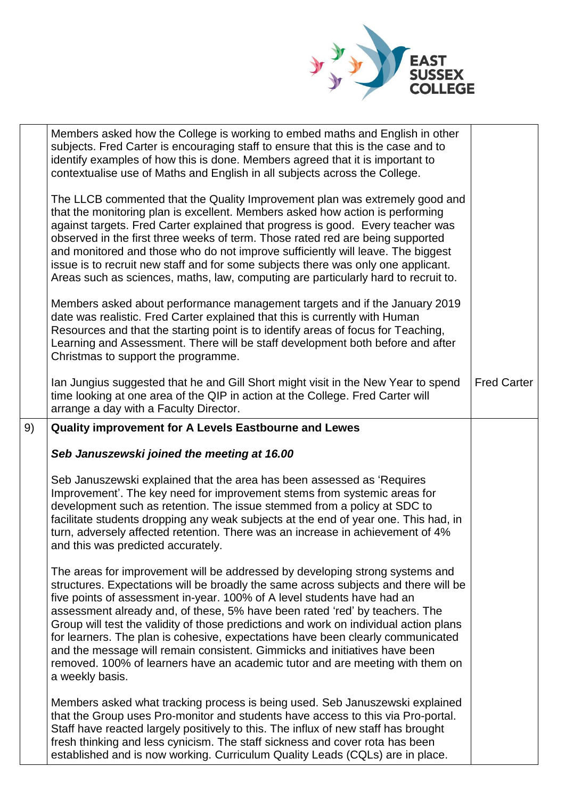

|    | Members asked how the College is working to embed maths and English in other<br>subjects. Fred Carter is encouraging staff to ensure that this is the case and to<br>identify examples of how this is done. Members agreed that it is important to<br>contextualise use of Maths and English in all subjects across the College.                                                                                                                                                                                                                                                                                                                                                            |                    |
|----|---------------------------------------------------------------------------------------------------------------------------------------------------------------------------------------------------------------------------------------------------------------------------------------------------------------------------------------------------------------------------------------------------------------------------------------------------------------------------------------------------------------------------------------------------------------------------------------------------------------------------------------------------------------------------------------------|--------------------|
|    | The LLCB commented that the Quality Improvement plan was extremely good and<br>that the monitoring plan is excellent. Members asked how action is performing<br>against targets. Fred Carter explained that progress is good. Every teacher was<br>observed in the first three weeks of term. Those rated red are being supported<br>and monitored and those who do not improve sufficiently will leave. The biggest<br>issue is to recruit new staff and for some subjects there was only one applicant.<br>Areas such as sciences, maths, law, computing are particularly hard to recruit to.                                                                                             |                    |
|    | Members asked about performance management targets and if the January 2019<br>date was realistic. Fred Carter explained that this is currently with Human<br>Resources and that the starting point is to identify areas of focus for Teaching,<br>Learning and Assessment. There will be staff development both before and after<br>Christmas to support the programme.                                                                                                                                                                                                                                                                                                                     |                    |
|    | Ian Jungius suggested that he and Gill Short might visit in the New Year to spend<br>time looking at one area of the QIP in action at the College. Fred Carter will<br>arrange a day with a Faculty Director.                                                                                                                                                                                                                                                                                                                                                                                                                                                                               | <b>Fred Carter</b> |
| 9) | Quality improvement for A Levels Eastbourne and Lewes                                                                                                                                                                                                                                                                                                                                                                                                                                                                                                                                                                                                                                       |                    |
|    | Seb Januszewski joined the meeting at 16.00                                                                                                                                                                                                                                                                                                                                                                                                                                                                                                                                                                                                                                                 |                    |
|    | Seb Januszewski explained that the area has been assessed as 'Requires<br>Improvement'. The key need for improvement stems from systemic areas for<br>development such as retention. The issue stemmed from a policy at SDC to<br>facilitate students dropping any weak subjects at the end of year one. This had, in<br>turn, adversely affected retention. There was an increase in achievement of 4%<br>and this was predicted accurately.                                                                                                                                                                                                                                               |                    |
|    | The areas for improvement will be addressed by developing strong systems and<br>structures. Expectations will be broadly the same across subjects and there will be<br>five points of assessment in-year. 100% of A level students have had an<br>assessment already and, of these, 5% have been rated 'red' by teachers. The<br>Group will test the validity of those predictions and work on individual action plans<br>for learners. The plan is cohesive, expectations have been clearly communicated<br>and the message will remain consistent. Gimmicks and initiatives have been<br>removed. 100% of learners have an academic tutor and are meeting with them on<br>a weekly basis. |                    |
|    | Members asked what tracking process is being used. Seb Januszewski explained<br>that the Group uses Pro-monitor and students have access to this via Pro-portal.<br>Staff have reacted largely positively to this. The influx of new staff has brought                                                                                                                                                                                                                                                                                                                                                                                                                                      |                    |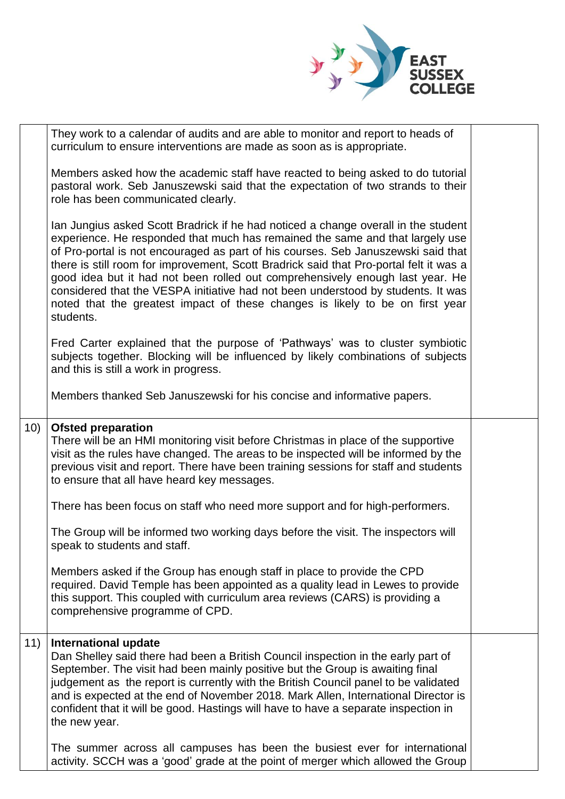

|     | They work to a calendar of audits and are able to monitor and report to heads of<br>curriculum to ensure interventions are made as soon as is appropriate.                                                                                                                                                                                                                                                                                                                                                                                                                                                            |  |
|-----|-----------------------------------------------------------------------------------------------------------------------------------------------------------------------------------------------------------------------------------------------------------------------------------------------------------------------------------------------------------------------------------------------------------------------------------------------------------------------------------------------------------------------------------------------------------------------------------------------------------------------|--|
|     | Members asked how the academic staff have reacted to being asked to do tutorial<br>pastoral work. Seb Januszewski said that the expectation of two strands to their<br>role has been communicated clearly.                                                                                                                                                                                                                                                                                                                                                                                                            |  |
|     | Ian Jungius asked Scott Bradrick if he had noticed a change overall in the student<br>experience. He responded that much has remained the same and that largely use<br>of Pro-portal is not encouraged as part of his courses. Seb Januszewski said that<br>there is still room for improvement, Scott Bradrick said that Pro-portal felt it was a<br>good idea but it had not been rolled out comprehensively enough last year. He<br>considered that the VESPA initiative had not been understood by students. It was<br>noted that the greatest impact of these changes is likely to be on first year<br>students. |  |
|     | Fred Carter explained that the purpose of 'Pathways' was to cluster symbiotic<br>subjects together. Blocking will be influenced by likely combinations of subjects<br>and this is still a work in progress.                                                                                                                                                                                                                                                                                                                                                                                                           |  |
|     | Members thanked Seb Januszewski for his concise and informative papers.                                                                                                                                                                                                                                                                                                                                                                                                                                                                                                                                               |  |
| 10) | <b>Ofsted preparation</b><br>There will be an HMI monitoring visit before Christmas in place of the supportive<br>visit as the rules have changed. The areas to be inspected will be informed by the<br>previous visit and report. There have been training sessions for staff and students<br>to ensure that all have heard key messages.                                                                                                                                                                                                                                                                            |  |
|     | There has been focus on staff who need more support and for high-performers.                                                                                                                                                                                                                                                                                                                                                                                                                                                                                                                                          |  |
|     | The Group will be informed two working days before the visit. The inspectors will<br>speak to students and staff.                                                                                                                                                                                                                                                                                                                                                                                                                                                                                                     |  |
|     | Members asked if the Group has enough staff in place to provide the CPD<br>required. David Temple has been appointed as a quality lead in Lewes to provide<br>this support. This coupled with curriculum area reviews (CARS) is providing a<br>comprehensive programme of CPD.                                                                                                                                                                                                                                                                                                                                        |  |
| 11) | <b>International update</b><br>Dan Shelley said there had been a British Council inspection in the early part of<br>September. The visit had been mainly positive but the Group is awaiting final<br>judgement as the report is currently with the British Council panel to be validated<br>and is expected at the end of November 2018. Mark Allen, International Director is<br>confident that it will be good. Hastings will have to have a separate inspection in<br>the new year.                                                                                                                                |  |
|     | The summer across all campuses has been the busiest ever for international<br>activity. SCCH was a 'good' grade at the point of merger which allowed the Group                                                                                                                                                                                                                                                                                                                                                                                                                                                        |  |